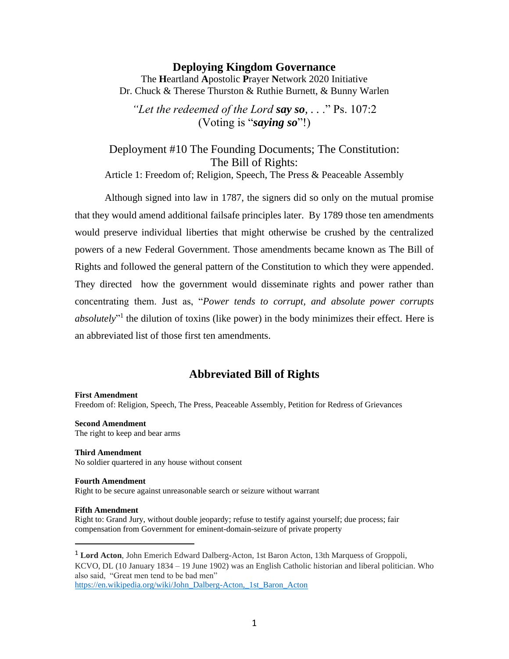### **Deploying Kingdom Governance**

The **H**eartland **A**postolic **P**rayer **N**etwork 2020 Initiative Dr. Chuck & Therese Thurston & Ruthie Burnett, & Bunny Warlen

*"Let the redeemed of the Lord say so, . .* ." Ps. 107:2 (Voting is "*saying so*"!)

Deployment #10 The Founding Documents; The Constitution: The Bill of Rights: Article 1: Freedom of; Religion, Speech, The Press & Peaceable Assembly

Although signed into law in 1787, the signers did so only on the mutual promise that they would amend additional failsafe principles later. By 1789 those ten amendments would preserve individual liberties that might otherwise be crushed by the centralized powers of a new Federal Government. Those amendments became known as The Bill of Rights and followed the general pattern of the Constitution to which they were appended. They directed how the government would disseminate rights and power rather than concentrating them. Just as, "*Power tends to corrupt, and absolute power corrupts*  absolutely<sup>"1</sup> the dilution of toxins (like power) in the body minimizes their effect. Here is an abbreviated list of those first ten amendments.

## **Abbreviated Bill of Rights**

#### **First Amendment**

Freedom of: Religion, Speech, The Press, Peaceable Assembly, Petition for Redress of Grievances

#### **Second Amendment**

The right to keep and bear arms

#### **Third Amendment** No soldier quartered in any house without consent

#### **Fourth Amendment**

Right to be secure against unreasonable search or seizure without warrant

#### **Fifth Amendment**

Right to: Grand Jury, without double jeopardy; refuse to testify against yourself; due process; fair compensation from Government for eminent-domain-seizure of private property

<sup>1</sup> **Lord Acton**, John Emerich Edward Dalberg-Acton, 1st Baron Acton, 13th Marquess of Groppoli, KCVO, DL (10 January 1834 – 19 June 1902) was an English Catholic historian and liberal politician. Who also said, "Great men tend to be bad men" [https://en.wikipedia.org/wiki/John\\_Dalberg-Acton,\\_1st\\_Baron\\_Acton](https://en.wikipedia.org/wiki/John_Dalberg-Acton,_1st_Baron_Acton)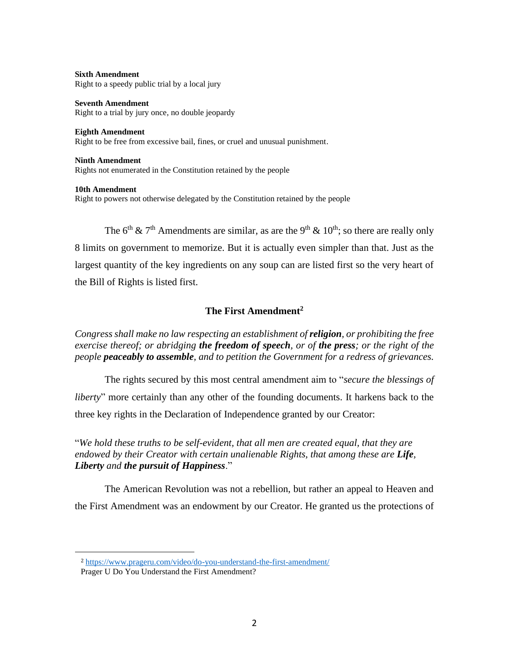**Sixth Amendment** Right to a speedy public trial by a local jury

**Seventh Amendment** Right to a trial by jury once, no double jeopardy

**Eighth Amendment**

Right to be free from excessive bail, fines, or cruel and unusual punishment.

**Ninth Amendment** Rights not enumerated in the Constitution retained by the people

#### **10th Amendment**

Right to powers not otherwise delegated by the Constitution retained by the people

The 6<sup>th</sup> & 7<sup>th</sup> Amendments are similar, as are the 9<sup>th</sup> & 10<sup>th</sup>; so there are really only 8 limits on government to memorize. But it is actually even simpler than that. Just as the largest quantity of the key ingredients on any soup can are listed first so the very heart of the Bill of Rights is listed first.

### **The First Amendment<sup>2</sup>**

*Congress shall make no law respecting an establishment of religion, or prohibiting the free exercise thereof; or abridging the freedom of speech, or of the press; or the right of the people peaceably to assemble, and to petition the Government for a redress of grievances.*

The rights secured by this most central amendment aim to "*secure the blessings of liberty*" more certainly than any other of the founding documents. It harkens back to the three key rights in the Declaration of Independence granted by our Creator:

"*We hold these truths to be self-evident, that all men are created equal, that they are endowed by their Creator with certain unalienable Rights, that among these are Life, Liberty and the pursuit of Happiness*."

The American Revolution was not a rebellion, but rather an appeal to Heaven and the First Amendment was an endowment by our Creator. He granted us the protections of

<sup>2</sup> <https://www.prageru.com/video/do-you-understand-the-first-amendment/>

Prager U Do You Understand the First Amendment?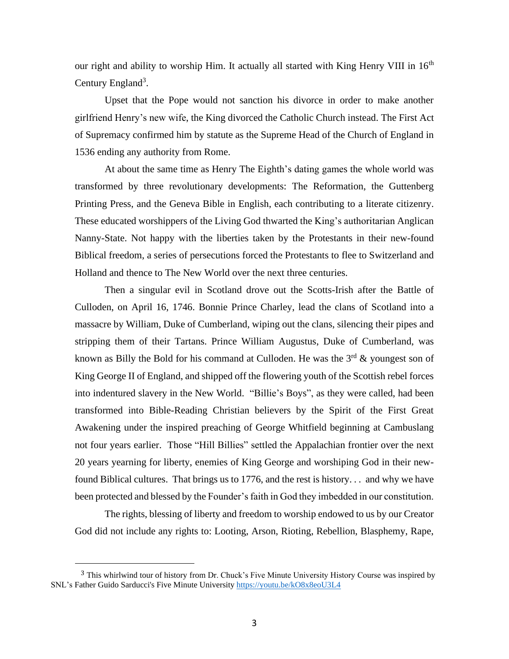our right and ability to worship Him. It actually all started with King Henry VIII in  $16<sup>th</sup>$ Century England<sup>3</sup>.

Upset that the Pope would not sanction his divorce in order to make another girlfriend Henry's new wife, the King divorced the Catholic Church instead. The First Act of Supremacy confirmed him by statute as the Supreme Head of the Church of England in 1536 ending any authority from Rome.

At about the same time as Henry The Eighth's dating games the whole world was transformed by three revolutionary developments: The Reformation, the Guttenberg Printing Press, and the Geneva Bible in English, each contributing to a literate citizenry. These educated worshippers of the Living God thwarted the King's authoritarian Anglican Nanny-State. Not happy with the liberties taken by the Protestants in their new-found Biblical freedom, a series of persecutions forced the Protestants to flee to Switzerland and Holland and thence to The New World over the next three centuries.

Then a singular evil in Scotland drove out the Scotts-Irish after the Battle of Culloden, on April 16, 1746. Bonnie Prince Charley, lead the clans of Scotland into a massacre by William, Duke of Cumberland, wiping out the clans, silencing their pipes and stripping them of their Tartans. Prince William Augustus, Duke of Cumberland, was known as Billy the Bold for his command at Culloden. He was the  $3<sup>rd</sup>$  & youngest son of King George II of England, and shipped off the flowering youth of the Scottish rebel forces into indentured slavery in the New World. "Billie's Boys", as they were called, had been transformed into Bible-Reading Christian believers by the Spirit of the First Great Awakening under the inspired preaching of George Whitfield beginning at Cambuslang not four years earlier. Those "Hill Billies" settled the Appalachian frontier over the next 20 years yearning for liberty, enemies of King George and worshiping God in their newfound Biblical cultures. That brings us to 1776, and the rest is history. . . and why we have been protected and blessed by the Founder's faith in God they imbedded in our constitution.

The rights, blessing of liberty and freedom to worship endowed to us by our Creator God did not include any rights to: Looting, Arson, Rioting, Rebellion, Blasphemy, Rape,

<sup>3</sup> This whirlwind tour of history from Dr. Chuck's Five Minute University History Course was inspired by SNL's Father Guido Sarducci's Five Minute University <https://youtu.be/kO8x8eoU3L4>